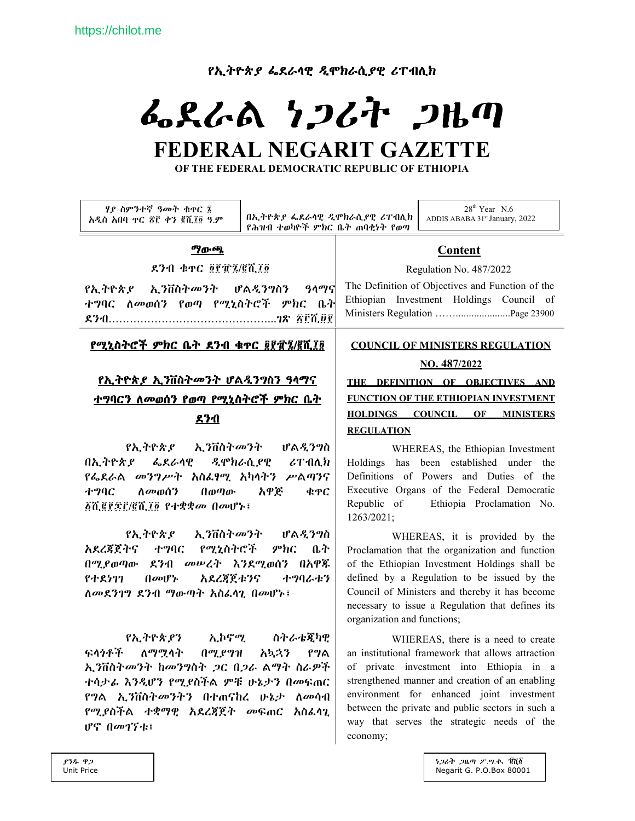*የኢትዮጵያ ፌ*ደራሳዊ *ዲ*ሞክራሲያዊ ሪፐብሊክ

# ふえんぬ ነጋሪት ጋዜጣ FEDERAL NEGARIT GAZETTE

OF THE FEDERAL DEMOCRATIC REPUBLIC OF ETHIOPIA

| ሃያ ስምንተኛ ዓመት ቁዋር ፮<br>አዲስ አበባ ዋር ፳፫ ቀን ፪ሺ፲፬ ዓ.ም                                | በኢትዮጵያ ፌደራሳዊ ዲሞክራሲያዊ ሪፐብሊክ<br>የሕዝብ ተወካዮች ምክር ቤት ጠባቂነት የወጣ |                                                                                              | $28th$ Year N.6<br>ADDIS ABABA 31st January, 2022                            |
|--------------------------------------------------------------------------------|-----------------------------------------------------------|----------------------------------------------------------------------------------------------|------------------------------------------------------------------------------|
| <i>ግ</i> ውጫ                                                                    |                                                           | Content                                                                                      |                                                                              |
| ደንብ ቁ <u>ቀር ፬፻፹፯/፪ሺ</u> ፲፬                                                     |                                                           | Regulation No. 487/2022                                                                      |                                                                              |
| የኢትዮጵያ ኢንቨስትመንት ሆልዲንግስን ዓላማና<br>ተግባር ለመወሰን የወጣ የሚኒስትሮች ምክር ቤት                  |                                                           | The Definition of Objectives and Function of the<br>Ethiopian Investment Holdings Council of |                                                                              |
| <u>የሚኒስትሮች ምክር ቤት ደንብ ቁጥር ፬፻፹፯/፪ሺ፲፬</u>                                        |                                                           | <b>COUNCIL OF MINISTERS REGULATION</b><br>NO. 487/2022                                       |                                                                              |
| <u>የኢትዮጵያ ኢንቨስትመንት ሆልዲንግስን ዓላማና</u>                                            |                                                           |                                                                                              | THE DEFINITION OF OBJECTIVES AND                                             |
| <u>ተግባርን ስመወሰን የወጣ የሚኒስትሮች ምክር ቤት</u>                                          |                                                           | FUNCTION OF THE ETHIOPIAN INVESTMENT                                                         |                                                                              |
| <u>ደንብ</u>                                                                     |                                                           | <b>HOLDINGS COUNCIL OF MINISTERS</b><br><b>REGULATION</b>                                    |                                                                              |
| <i>የኢትዮጵያ ኢን</i> ቨስት <i>መን</i> ት ሆል <i>ዲንግ</i> ስ<br>በኢትዮጵያ ፌደራሳዊ ዲሞክራሲያዊ ሪፐብሊክ |                                                           |                                                                                              | WHEREAS, the Ethiopian Investment<br>Holdings has been established under the |
| <i>የፌ</i> ደራል <i>መንግሥት አ</i> ስፌፃሚ አካላትን ሥልጣንና                                  |                                                           |                                                                                              | Definitions of Powers and Duties of the                                      |

ተግባር አዋጅ ለመወሰን  $0$ <sub> $0$ </sub> $\sigma$ <sub> $0$ </sub> $\sigma$ **¢TC** ፩ሺ፪፻፷፫/፪ሺ፲፬ የተቋቋ*መ በመ*ሆኑ፤ የኢትዮጵያ ኢንቨስት*መን*ት ሆልዲንግስ

አደረጀጀትና ተግባር የሚኒስትሮች ምክር ቤት በሚያወጣው ደንብ መሠረት እንደሚወሰን በአዋጁ የተደነገገ በመሆኑ አደረጃጀቱንና ナツリムホク ለመደንገግ ደንብ ማውጣት አስፌሳጊ በመሆኑ፤

የኢትዮጵያን ስትራቴጀካዊ ኢኮኖሚ ፍላጎቶች ለማሟላት በሚያግዝ አኳኋን የግል ኢንቨስትመንት ከመንግስት ጋር በጋራ ልማት ስራዎች ተሳታፊ እንዲሆን የሚያስችል ምቹ ሁኔታን በመፍጠር የግል ኢ*ን*ቨስት*መንትን* በተጠናከረ ሁኔታ ለመሳብ *የሚያስች*ል *ተቋማዊ አደረጃጀት መ*ፍጠር *አስ*ፌሳጊ ぴ (|のびたミ

WHEREAS, it is provided by the Proclamation that the organization and function of the Ethiopian Investment Holdings shall be defined by a Regulation to be issued by the Council of Ministers and thereby it has become necessary to issue a Regulation that defines its organization and functions;

Executive Organs of the Federal Democratic

Ethiopia Proclamation No.

Republic of

1263/2021:

WHEREAS, there is a need to create an institutional framework that allows attraction of private investment into Ethiopia in a strengthened manner and creation of an enabling environment for enhanced joint investment between the private and public sectors in such a way that serves the strategic needs of the economy;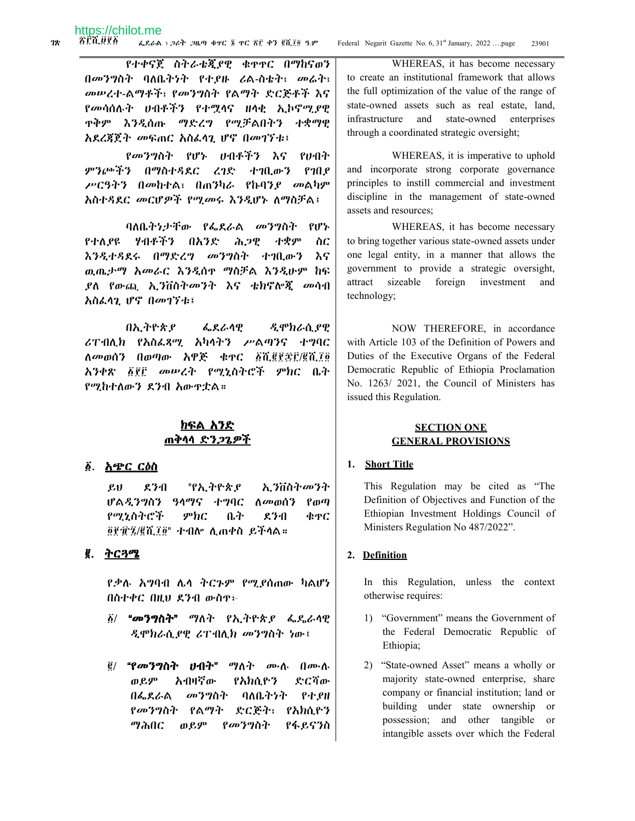የተቀናጀ ስትራቴጂያዊ ቁዋዋር በማከናወን በመንግስት ባለቤትነት የተያዙ ሪል-ስቴት፣ መሬት፣ መሠረተ-ልማቶች፣ የመንግስት የልማት ድርጅቶች እና የመሳሰሉት ሀብቶችን የተሟሳና ዘሳቂ ኢኮኖሚያዊ <u> ዋቅም እንዲሰጡ ማድረግ የሚቻልበትን ተቋማዊ</u> አደረጃጀት መፍጠር አስፌሳጊ ሆኖ በመገኘቱ፤

*የመንግ*ስት የሆኑ ሀብቶችን እና イルイイ ምንጮችን በማስተዳደር ረገድ ተገቢውን  $P10P$ ሥርዓትን በመከተል፣ በጠንካራ የኩባንያ መልካም አስተዳደር መርሆዎች የሚመሩ እንዲሆኑ ለማስቻል፤

ባለቤትነታቸው የፌደራል መንግስት የሆኑ የተለደዩ ሃብቶችን በአንድ ሕጋዊ ተቋም  $\Delta C$ እንዲተዳደሩ በማድረግ መንግስት ተገቢውን እና ዉጤታማ አመራር እንዲሰዋ ማስቻል እንዲሁም ከፍ *ያ*ለ የውጪ ኢንቨስትመንት እና ቴክኖሎጂ መሳብ አስፌሳጊ ሆኖ በመገኘቱ፤

በኢትዮጵያ ፌደራሳዊ ዲሞክራሲያዊ ሪፐብሊክ የአስፌጻሚ አካላትን ሥልጣንና ተግባር ለመወሰን በወጣው አዋጅ ቁዋር ፩ሺ፪፪፷፫/፪ሺ፲፬ አንቀጽ ፩፻፫ መሠረት የሚኒስትሮች ምክር ቤት የሚከተለውን ደንብ አውዋቷል።

# <u>ክፍል አንድ</u> <u>ጠቅሳሳ ድንጋጌዎች</u>

#### ፩. <u>አጭር ርዕስ</u>

 $g_{\rm H}$ ደንብ "የኢትዮጵያ ኢንቨስት*መን*ት ሆልዲንግስን ዓላማና ተግባር ለመወሰን የወጣ የሚኒስትሮች  $\mathcal{P}bC$ ቤት  $27-1$ ቁዋር ፬፻፹፯/፪ሺ፲፬" ተብሎ ሊጠቀስ ይችላል።

#### ፪. ትርጓሜ

የቃሉ አግባብ ሌላ ትርጉም የሚደሰጠው ካልሆነ በስተቀር በዚህ ደንብ ውስዋ፦

- δ/ **"መንግስት"** ማለት የኢትዮጵ*ያ ሌ*ዱራላዊ ዲሞክራሲያዊ ሪፐብሊክ መንግስት ነው፤
- ፪/ "የመንግስት ሀብት" ማለት ሙለ በሙለ ወይም አብዛኛው የአክሲዮን ድርሻው በፌደራል መንግስት ባለቤትንት የተያዘ የመንግስት የልማት ድርጅት፣ የአክሲዮን ማሕበር ወይም የመንግስት የፋይናንስ

WHEREAS, it has become necessary to create an institutional framework that allows the full optimization of the value of the range of state-owned assets such as real estate, land, infrastructure and state-owned enterprises through a coordinated strategic oversight;

WHEREAS, it is imperative to uphold and incorporate strong corporate governance principles to instill commercial and investment discipline in the management of state-owned assets and resources;

WHEREAS, it has become necessary to bring together various state-owned assets under one legal entity, in a manner that allows the government to provide a strategic oversight, attract sizeable foreign investment and technology;

NOW THEREFORE, in accordance with Article 103 of the Definition of Powers and Duties of the Executive Organs of the Federal Democratic Republic of Ethiopia Proclamation No. 1263/2021, the Council of Ministers has issued this Regulation.

#### **SECTION ONE GENERAL PROVISIONS**

#### 1. Short Title

This Regulation may be cited as "The Definition of Objectives and Function of the Ethiopian Investment Holdings Council of Ministers Regulation No 487/2022".

#### 2. Definition

In this Regulation, unless the context otherwise requires:

- 1) "Government" means the Government of the Federal Democratic Republic of Ethiopia;
- 2) "State-owned Asset" means a wholly or majority state-owned enterprise, share company or financial institution; land or building under state ownership or possession; and other tangible or intangible assets over which the Federal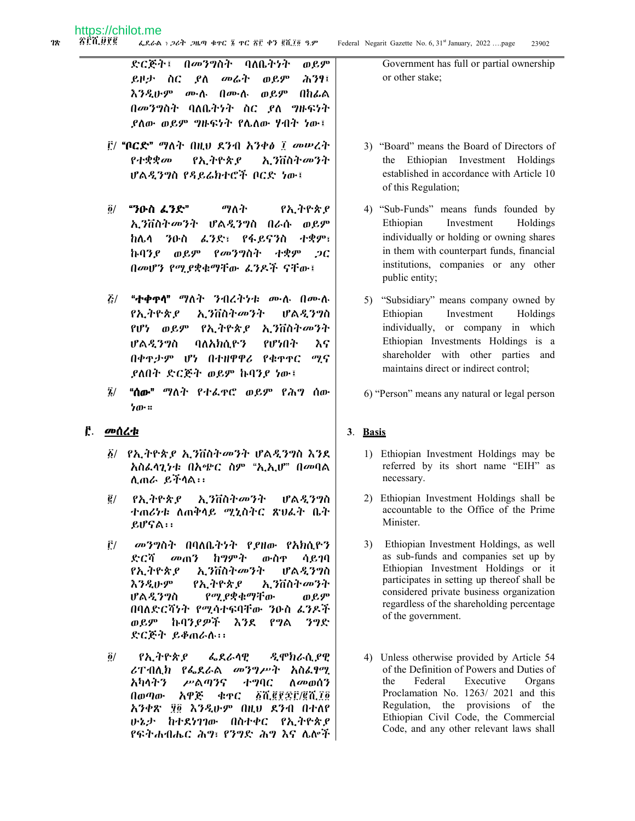በመንግስት ባለቤትነት ድርጅት፤ ወይም ወይም ይዞታ ስር ያለ መሬት ሕንፃ፤ እንዲሁም ሙሲ በሙሲ ወይም በከፌል በመንግስት ባለቤትነት ስር ዖለ ግዙፍነት *ያ*ለው ወይም *ግ*ዙፍነት የሌለው ሃብት ነው፤

- $\tilde{F}$ / "ቦ $\mathbb{C}$ ድ" ማለት በዚህ ደንብ አንቀ $\delta$  ፣ መሥረት የተቋቋመ የኢትዮጵያ ኢንቨስትመንት ሆልዲንግስ የዳይሬክተሮች ቦርድ ነው፤
- $\ddot{\mathbf{0}}$ / "ንዑስ ፌንድ" ማለት የኢትዮጵያ ኢንቨስትመንት ሆልዲንግስ በራሱ ወይም ከሌላ ንዑስ ፈንድ፣ የፋይናንስ ተቋም፣ ኩባንደ ወደም የመንግስት ተቋም  $2C$ በመሆን የሚያቋቁማቸው ፊንዶች ናቸው፤
- $\mathbf{z}$ / "ተቀዋሳ" ማለት ንብረትንቱ ሙሉ በሙሉ የኢትዮጵያ ኢንቨስትመንት ሆልዲንግስ የሆነ ወይም የኢትዮጵ*ያ* ኢንቨስት*መ*ንት ሆልዲንግስ ባለአክሲዮን የሆነበት እና በቀዋታም ሆነ በተዘዋዋሪ የቁዋዋር ሚና ያለበት ድርጅት ወይም ኩባንያ ነው፤
- $\tilde{z}$ / "ሰው" ማለት የተፌዋሮ ወይም የሕግ ሰው ነው።

# <u>፫. መሰረቱ</u>

- ፩/ የኢትዮጵያ ኢንቨስትመንት ሆልዲንግስ እንደ አስፌሳጊነቱ በአጭር ስም "ኢኢሆ" በመባል ሲጠራ ይችሳል፡፡
- $\vec{e}$  / የኢትዮጵያ ኢንቨስት*መን*ት ሆልዲንግስ ተጠሪነቱ ለጠቅሳይ ሚኒስትር ጽህራት ቤት ይሆናል፡፡
- Ë/ መንግስት በባለቤትነት የያዘው የአክሲዮን ድርሻ መጠን ከግምት ውስዋ ሳይገባ የኢትዮጵያ ኢንቨስትመንት ሆልዲንግስ えろえゖヂ የኢትዮጵያ ኢንቨስትመንት ሆልዲንግስ የሚያቋቁማቸው ወይም በባለድርሻነት የሚሳተፍባቸው ንዑስ ፌንዶች ወይም ኩባንደዎች እንደ ንግድ የግል ድርጅት ይቆጠራሉ፡፡
- $\vec{\mathbf{0}}$ / የኢትዮጵያ ፌደራሳዊ ዲሞክራሲ ያዊ ሪፐብሊክ የፌደራል መንግሥት አስፌፃሚ አካላትን ሥልጣንና **+90C** ለመወሰን *BLEFEF/ELIO* በወጣው አዋጅ ቁዋር አንቀጽ ፃ፬ እንዲሁም በዚህ ደንብ በተለየ ሁኔታ ከተደነገገው በስተቀር የኢትዮጵያ የፍትሐብሔር ሕግ፣ የንግድ ሕግ እና ሌሎች

Government has full or partial ownership or other stake:

- 3) "Board" means the Board of Directors of the Ethiopian Investment Holdings established in accordance with Article 10 of this Regulation;
- 4) "Sub-Funds" means funds founded by Ethiopian Investment Holdings individually or holding or owning shares in them with counterpart funds, financial institutions, companies or any other public entity;
- 5) "Subsidiary" means company owned by Ethiopian Investment Holdings individually, or company in which Ethiopian Investments Holdings is a shareholder with other parties and maintains direct or indirect control:
- 6) "Person" means any natural or legal person

#### 3. Basis

- 1) Ethiopian Investment Holdings may be referred by its short name "EIH" as necessary.
- 2) Ethiopian Investment Holdings shall be accountable to the Office of the Prime Minister.
- 3) Ethiopian Investment Holdings, as well as sub-funds and companies set up by Ethiopian Investment Holdings or it participates in setting up thereof shall be considered private business organization regardless of the shareholding percentage of the government.
- 4) Unless otherwise provided by Article 54 of the Definition of Powers and Duties of Federal Executive Organs the Proclamation No. 1263/2021 and this Regulation, the provisions of the Ethiopian Civil Code, the Commercial Code, and any other relevant laws shall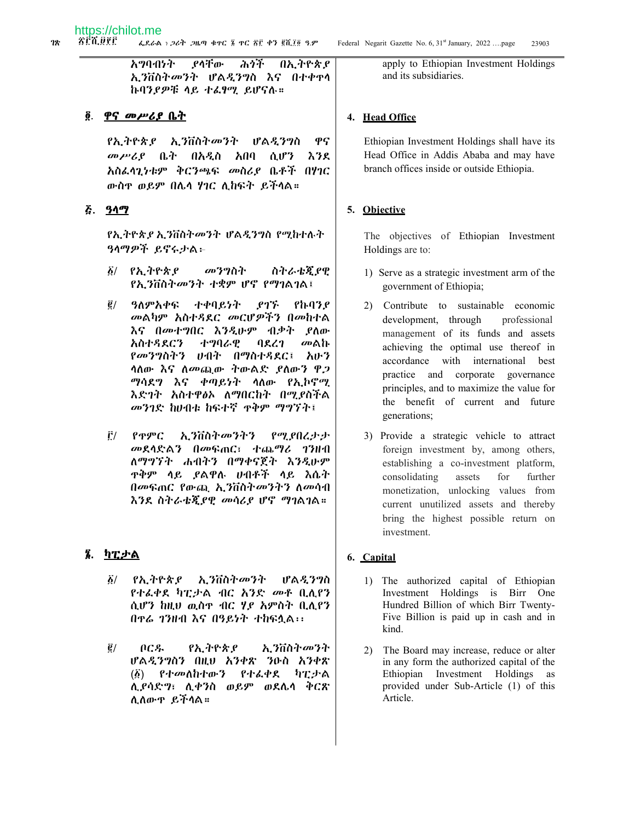みうぞ የሳቸው አማባብነት በኢትዮጵያ ኢንቨስትመንት ሆልዲንግስ እና በተቀዋሳ ኩባንያዎቹ ላይ ተራፃሚ ይሆናሉ።

#### ፬. ዋና መሥሪያ ቤት

የኢትዮጵያ ኢንቨስትመንት ሆልዲንግስ ዋና *መሥሪ* ቤት በአዲስ አበባ ሲሆን እንደ አስፌሳጊነቱም ቅርንጫፍ መስሪያ ቤቶች በሃገር ውስዋ ወይም በሌላ ሃገር ሊከፍት ይችላል።

# <u>ሯ. ዓላማ</u>

የኢትዮጵያ ኢንቨስትመንት ሆልዲንግስ የሚከተሉት ዓላማዎች ይኖሩታል፡-

- <u>፩/ የኢትዮጵያ</u> መንግስት ስትራቴጂያዊ *የኢን*ቨስትመንት ተቋም ሆኖ የማገልገል፤
- $\vec{e}$  / ዓለምአቀፍ ተቀባይነት ያገኙ የኩባንደ *መ*ልካም አስተዳደር *መር*ሆዎችን በመከተል እና በመተግበር እንዲሁም ብቃት ያለው አስተዳደርን ナツりんዊ መልኩ ባደረገ የመንግስትን ሀብት በማስተዳደር፤ አሁን ሳስው እና ስመጪው ተውልድ ያስውን ዋጋ ማሳደግ እና ቀጣይነት ሳለው የኢኮኖሚ እድገት አስተዋፅኦ ለማበርከት በሚያስችል መንገድ ከሀብቱ ከፍተኛ ቀቅም ማግኘት፤
- Ê/ -የዋምር ኢንቨስትመንትን የሚያበረታታ መደሳድልን በመፍጠር፣ ተጨማሪ ገንዘብ ለማግኘት ሐብትን በማቀናጀት እንዲሁም **ዋቅም ሳይ ያልዋሉ ሀብቶች ሳይ እሴት** በመፍጠር የውጪ ኢንቨስትመንትን ለመሳብ እንደ ስትራቴጂያዊ መሳሪያ ሆኖ ማገልገል።

# ፮. ካፒታል

- $\vec{b}/$ የኢትዮጵያ ኢንቨስትመንት ሆልዲንግስ *የተልቀ*ደ ካፒ*ታ*ል ብር *አንድ መቶ* ቢሊየን ሲሆን ከዚህ ዉስዋ ብር ሃይ አምስት ቢሊየን በዋሬ ገንዘብ እና በዓይነት ተከፍሏል፡፡
- $\tilde{\mathbf{g}}/$ በርዱ የኢትዮጵያ ኢንቨስት*መን*ት ሆልዲንግስን በዚህ አንቀጽ ንዑስ አንቀጽ የተ*መ*ለከተውን የተፌቀደ ካፒታል  $\left(\mathbf{\hat{\Phi}}\right)$ ሲያሳድግ፣ ሲቀንስ ወይም ወደሌሳ ቅርጽ ሲለውዋ ይችሳል።

apply to Ethiopian Investment Holdings and its subsidiaries.

#### 4. Head Office

Ethiopian Investment Holdings shall have its Head Office in Addis Ababa and may have branch offices inside or outside Ethiopia.

# 5. Objective

The objectives of Ethiopian Investment Holdings are to:

- 1) Serve as a strategic investment arm of the government of Ethiopia;
- 2) Contribute to sustainable economic development, through professional management of its funds and assets achieving the optimal use thereof in accordance with international best practice and corporate governance principles, and to maximize the value for the benefit of current and future generations;
- 3) Provide a strategic vehicle to attract foreign investment by, among others, establishing a co-investment platform, consolidating assets for further monetization, unlocking values from current unutilized assets and thereby bring the highest possible return on investment.

#### 6. Capital

- 1) The authorized capital of Ethiopian Investment Holdings is Birr One Hundred Billion of which Birr Twenty-Five Billion is paid up in cash and in kind.
- 2) The Board may increase, reduce or alter in any form the authorized capital of the Ethiopian Investment Holdings as provided under Sub-Article (1) of this Article.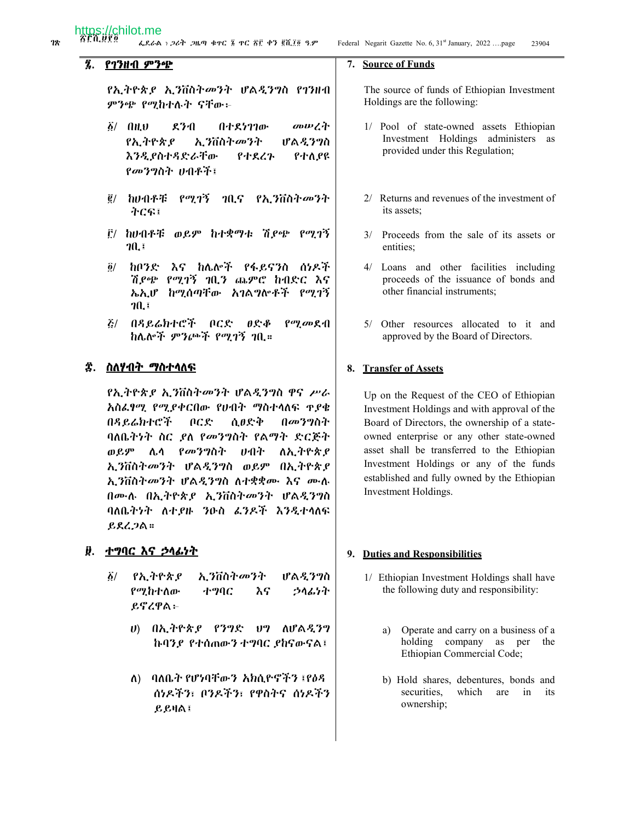# የገንዘብ ምንጭ

የኢትዮጵያ ኢንቨስትመንት ሆልዲንግስ የገንዘብ ምንጭ የሚከተሉት ናቸው፦

- のいごれ  $\delta$ / AH $\upsilon$  $270$ በተደነገገው የኢትዮጵያ አ.ንቨስትመንት ሆልዲንግስ እንዲ የስተዳድራቸው የተደረጉ የተለያዩ የመንግስት ሀብቶች፤
- ፪/ ከሀብቶቹ የሚገኝ ገቢና የኢንቨስትመንት ተርፍ፤
- ፫/ ከሀብቶቹ ወይም ከተቋማቱ ሽ*ያጭ የሚገኝ*  $70.5$
- $\ddot{\mathbf{a}}$ / ከቦንድ እና ከሌሎች የፋይናንስ ሰነዶች ሽደጭ የሚገኝ ገቢን ጨምሮ ከብድር እና ኤኢሆ ከሚሰጣቸው አገልግሎቶች የሚገኝ  $70.1$
- $\mathcal{E}$ / በዳይሬክተሮች ቦርድ ፀድቆ  $\rho$ ay an  $\rho$ -fl ከሌሎች ምንጮች የሚገኝ ገቢ።

# ፰. ስለሃብት ማስተሳለ<del>ፍ</del>

የኢትዮጵያ ኢንቨስትመንት ሆልዲንግስ ዋና ሥራ አስፌፃሚ የሚያቀርበው የሀብት ማስተሳለፍ ዋያቄ በዳይሬክተሮች በርድ ሲፀድቅ በመንግስት ባለቤትነት ስር ደለ የመንግስት የልማት ድርጅት ወይም ሌላ የመንግስት ሁበት ለኢትዮጵያ ኢንቨስትመንት ሆልዲንግስ ወይም በኢትዮጵያ ኢንቨስትመንት ሆልዲንግስ ለተቋቋሙ እና ሙሉ በሙሉ በኢትዮጵያ ኢንቨስትመንት ሆልዲንግስ ባለቤትንት ለተያዙ ንዑስ ፈንዶች እንዲተላለፍ  $R$  $R$  $L$  $2$  $R$  $\approx$ 

#### ፱. <u>ተግባር እና ኃላፊነት</u>

- የኢትዮጵያ ኢንቨስት*መን*ት ሆልዲንግስ  $\ddot{\delta}$ የሚከተለው ተግባር እና うへんりれ ይኖረዋል፦
	- ሀ) በኢትዮጵያ የንግድ ሀግ ስሆልዲንግ ኩባንደ የተሰጠውን ተግባር ደከናውናል፤
	- ባለቤት የሆነባቸውን አክሲዮኖችን ፤የዕዳ  $\Lambda$ ) ሰነዶችን፣ ቦንዶችን፣ የዋስትና ሰነዶችን  $B$ ይዛል፤

#### 7. Source of Funds

The source of funds of Ethiopian Investment Holdings are the following:

- 1/ Pool of state-owned assets Ethiopian Investment Holdings administers as provided under this Regulation;
- 2/ Returns and revenues of the investment of its assets;
- 3/ Proceeds from the sale of its assets or entities:
- 4/ Loans and other facilities including proceeds of the issuance of bonds and other financial instruments:
- 5/ Other resources allocated to it and approved by the Board of Directors.

#### 8. Transfer of Assets

Up on the Request of the CEO of Ethiopian Investment Holdings and with approval of the Board of Directors, the ownership of a stateowned enterprise or any other state-owned asset shall be transferred to the Ethiopian Investment Holdings or any of the funds established and fully owned by the Ethiopian Investment Holdings.

#### 9. Duties and Responsibilities

- 1/ Ethiopian Investment Holdings shall have the following duty and responsibility:
	- a) Operate and carry on a business of a holding company as per the Ethiopian Commercial Code;
	- b) Hold shares, debentures, bonds and securities, which are in its ownership;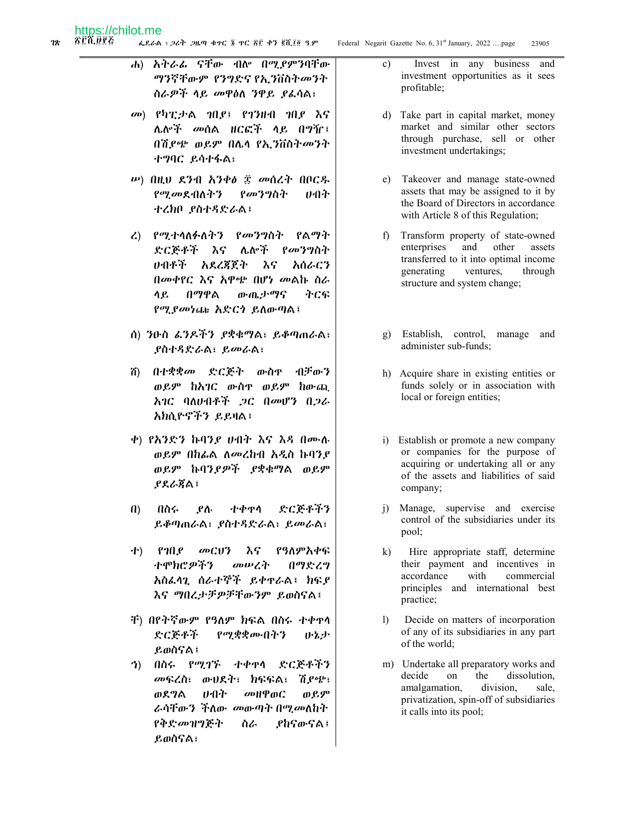ሐ) አትራፊ ናቸው ብሎ በሚያምንባቸው *ማን*ኛቸውም *የንግ*ድና የኢ*ን*ቨስት*መን*ት ስራዎች ላይ መዋዕለ ንዋይ ያፈሳል፣

- መ) የካፒታል ገበደ፤ የገንዘብ ገበደ እና ሌሎች መሰል ዘርፎች ላይ በግዥ፤ በሽደጭ ወይም በሌላ የኢንቨስትመንት ተማባር ይሳተፋል፣
- $\nu$ ) በዚህ ደንብ አንቀ $\nu$   $\nu$  መሰረት በቦርዱ የሚመደብለትን የመንግስት ひつか ተረክቦ ያስተዳድራል፤
- ረ) የሚተሳለፉለትን የመንግስት የልማት ድርጅቶች እና ሌሎች የመንግስት ルイパネー አደረጃጀት እና አሰራርን በመቀየር እና አዋጭ በሆነ መልኩ ስራ ሳ ይ በማዋል ውጤታማና ትርፍ የሚያመነጩ አድርጎ ይለውጣል፤
- ሰ) ንዑስ ፌንዶችን ያቋቁማል፣ ይቆጣጠራል፣ **ያስተዳድራል**፣ ይመራል፣
- በተቋቋ*መ* ድርጅት ውስዋ イドル・フ ñ) ወይም ከአገር ውስዋ ወይም ከውጪ አገር ባለሆብቶች ጋር በመሆን በጋራ አክሲዮኖችን ይይዛል፤
- ቀ) የአንድን ኩባንያ ሀብት እና እዳ በሙሉ ወይም በከፌል ለመረከብ አዲስ ኩባንያ ወይም ኩባንደዎች ደቋቁማል ወይም <u> የደራጀል፣</u>
- ተቀዋሳ ድርጅቶችን  $\mathbf{u}$ በስሩ ያሉ ይቆጣጠራል፣ ያስተዳድራል፣ ይመራል፣
- የዓለምአቀፍ  $P10P$ 小)  $\omega$ Ci) $\gamma$ እና ተሞክሮ*ዎችን* መሠረት በማድረግ አስፌሳጊ ሰራተኞች ይቀኖራል፤ ክፍደ እና ማበረታቻዎቻቸውንም ይወስናል፤
- ቸ) በየትኛውም የዓለም ክፍል በስሩ ተቀዋሳ ድርጅቶች የሚቋቋሙበትን いとよ ይወስናል፤
- ተቀዋሳ ድርጅቶችን **7**) በስሩ የሚገኙ መፍረስ፣ ውሀደት፣ ክፍፍል፣ ሽ የጭ፣ ወደግል ひかれ *a*bHP@C ወይም ራሳቸውን ችለው መውጣት በሚመለከት የቅድ*መዝግ*ጅት ስራ *ያከናውና* ል፤ ይወስናል፣
- Invest in any business and  $\mathbf{c}$ ) investment opportunities as it sees profitable;
- d) Take part in capital market, money market and similar other sectors through purchase, sell or other investment undertakings;
- e) Takeover and manage state-owned assets that may be assigned to it by the Board of Directors in accordance with Article 8 of this Regulation;
- f) Transform property of state-owned enterprises and other assets transferred to it into optimal income generating ventures. through structure and system change;
- g) Establish, control, manage and administer sub-funds:
- h) Acquire share in existing entities or funds solely or in association with local or foreign entities;
- i) Establish or promote a new company or companies for the purpose of acquiring or undertaking all or any of the assets and liabilities of said company;
- i) Manage, supervise and exercise control of the subsidiaries under its pool;
- $k)$ Hire appropriate staff, determine their payment and incentives in accordance with commercial principles and international best practice;
- $\left| \right|$ Decide on matters of incorporation of any of its subsidiaries in any part of the world;
- m) Undertake all preparatory works and decide the dissolution, on amalgamation, division, sale. privatization, spin-off of subsidiaries it calls into its pool;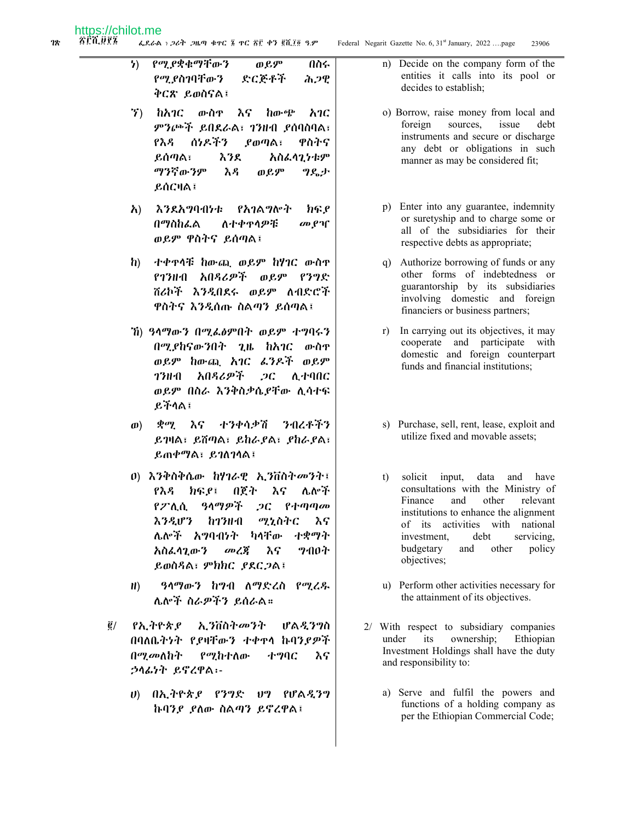የሚያቋቁማቸውን ወይም  $\mathbf{h}$ በስሩ የሚ ያስገባቸውን ድርጅቶች ሕጋዊ ቅርጽ ይወስናል፤

- ኘ) ከአገር ውስዋ እና ከውጭ  $\lambda$ ምንጮች ይበደራል፣ ኀንዙብ ያሰባስባል፣ የእዳ ሰነዶችን ዋስትና የወጣል፣ ይሰጣል፣ እንደ አስፌሳጊንቱም ማንኛውንም እዳ ወይም ግዴታ  $RACHA$
- $\lambda$ ) እንደአግባብነቱ የአገልግሎት ክፍያ በማስከፌል ለተቀዋሳዎቹ መያዣ ወይም ዋስትና ይሰጣል፤
- ተቀዋሳቹ ከውጪ ወይም ከሃገር ውስዋ  $\mathbf{h}$ የኅንዙብ አበዳሪዎች ወይም የንግድ ሸሪኮች እንዲበደሩ ወይም ለብድሮች ዋስትና እንዲሰጡ ስልጣን ይሰጣል፤
- ሽ) ዓላማውን በሚፌፅምበት ወይም ተግባሩን በሚያከናውንበት ጊዜ ከአገር ውስዋ ወይም ከውጪ አገር ፈንዶች ወይም አበዳሪዎች  $2C$ ሊተባበር 73H·A ወይም በስራ እንቅስቃሴያቸው ሊሳተፍ ይችላል፤
- ወ) *ቋሚ* እና ተንቀሳቃሽ **ንብረቶችን** ይገዛል፣ ይሸጣል፣ ይከራያል፣ ያከራያል፣ ይጠቀማል፣ ይገለገሳል፤
- 0) እንቅስቅሴው ከሃገራዊ ኢንቨስትመንት፤ ክፍያ፤ በጀት እና ሌሎች የእዳ የፖሊሲ ዓላማዎች ጋር የተጣጣመ **እንዲሆን ከ1ንዘብ** ሚኒስትር እና ሌሎች አግባብነት ካላቸው ተቋማት አስፌሳጊውን  $\omega$   $\zeta$ እና **9**ብበት ይወስዳል፣ ምክክር ያደርጋል፤
- ዓላማውን ከግብ ለማድረስ የሚረዱ  $H$ ) ሌሎች ስራዎችን ይሰራል።
- $\vec{g}/$ የኢትዮጵያ ኢንቨስትመንት ሆልዲንግስ በባለቤትንት የደዛቸውን ተቀዋላ ኩባንደዎች በሚመለከት የሚከተለው ተግባር እና ኃላፊነት ይኖረዋል፡-
	- ሀ) በኢትዮጵያ የንግድ ሀግ የሆልዲንግ ኩባንያ ያለው ስልጣን ይኖረዋል፤
- n) Decide on the company form of the entities it calls into its pool or decides to establish:
- o) Borrow, raise money from local and foreign sources, issue debt instruments and secure or discharge any debt or obligations in such manner as may be considered fit;
- p) Enter into any guarantee, indemnity or suretyship and to charge some or all of the subsidiaries for their respective debts as appropriate;
- q) Authorize borrowing of funds or any other forms of indebtedness or guarantorship by its subsidiaries involving domestic and foreign financiers or business partners;
- r) In carrying out its objectives, it may cooperate and participate with domestic and foreign counterpart funds and financial institutions;
- s) Purchase, sell, rent, lease, exploit and utilize fixed and movable assets;
- $t$ ) solicit input, data and have consultations with the Ministry of Finance and other relevant institutions to enhance the alignment of its activities with national investment, debt servicing, budgetary and policy other objectives;
- u) Perform other activities necessary for the attainment of its objectives.
- 2/ With respect to subsidiary companies ownership; under its Ethiopian Investment Holdings shall have the duty and responsibility to:
	- a) Serve and fulfil the powers and functions of a holding company as per the Ethiopian Commercial Code;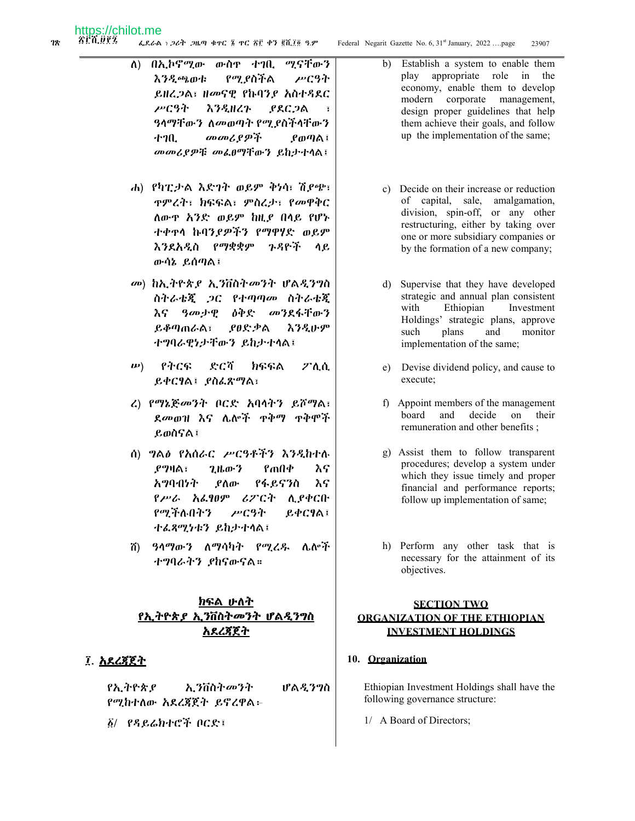- ውስዋ ተገቢ በኢኮኖሚው ሚናቸውን ለ) የሚያስችል **እንዲጫወቱ** ሥርዓት ይዘረጋል፣ ዘመናዊ የኩባንያ አስተዳደር ሥርዓት እንዲዘረጉ ያደር ጋል ዓላማቸውን ለመወጣት የሚያስችላቸውን መመሪያዎች ተገቢ *L* መጣል፤ መመሪያዎቹ መሬፀማቸውን ይከታተሳል፤
- ሐ) የካፒታል እድገት ወይም ቅነሳ፣ ሽያጭ፣ ዋምረት፣ ክፍፍል፣ ምስረታ፣ የመዋቅር ለውዋ አንድ ወይም ከዚያ በላይ የሆኑ ተቀዋሳ ኩባንያዎችን የማዋሃድ ወይም እንደአዲስ የማቋቋም ንዳዮች ሳይ ውሳኔ ይሰጣል፤
- መ) ከኢትዮጵያ ኢንቨስትመንት ሆልዲንግስ ስትራቴጂ ጋር የተጣጣመ ስትራቴጂ ዓመታዊ ዕቅድ መንደፋቸውን እና ይቆጣጠራል፣ ያፀድቃል えろえゖヂ ተግባራዊነታቸውን ይከታተላል፤
- ድርሻ ክፍፍል  $\boldsymbol{\mu}$ የትርፍ  $Z^*$ ስ.ስ. ይቀርፃል፤ ያስፌጽማል፣
- ረ) የማኔጅመንት ቦርድ አባሳትን ይሾማል፣ ደመወዝ እና ሌሎች ዋቅማ ዋቅሞች ይወስናል፤
- ሰ) *ግ*ል∂ የአሰራር ሥርዓቶችን እንዲከተሉ *የግ***ዛል**፣ ጊዜውን የጠበቀ እና አማባብነት የፋይናንስ እና ያስው የሥራ አፌፃፀም ሪፖርት ለ የቀርቡ የሚችሉበትን ሥርዓት ይቀርፃል፤ ተፌጻሚነቱን ይከታተላል፤
- *ዓላማውን ለማሳካት የሚሬዱ ሌ*ሎች ሽ) ተግባራትን ያከናውናል።

# ክፍል ሁለት <u>የኢትዮጵያ ኢንቨስትመንት ሆልዲንግስ</u> <u>አደረጃጀት</u>

# ፲. <u>አደሪጃጀት</u>

የኢትዮጵያ ኢንቨስትመንት ሆልዲንግስ የሚከተለው አደረጃጀት ይኖረዋል፦

δ/ የዳይሬክተሮች ቦርድ፤

- b) Establish a system to enable them play appropriate role in the economy, enable them to develop modern corporate management, design proper guidelines that help them achieve their goals, and follow up the implementation of the same;
- c) Decide on their increase or reduction of capital, sale, amalgamation, division, spin-off, or any other restructuring, either by taking over one or more subsidiary companies or by the formation of a new company;
- d) Supervise that they have developed strategic and annual plan consistent Ethiopian Investment with Holdings' strategic plans, approve plans and monitor such implementation of the same;
- e) Devise dividend policy, and cause to execute;
- f) Appoint members of the management and decide on their board remuneration and other benefits;
- g) Assist them to follow transparent procedures; develop a system under which they issue timely and proper financial and performance reports; follow up implementation of same;
- h) Perform any other task that is necessary for the attainment of its objectives.

# **SECTION TWO ORGANIZATION OF THE ETHIOPIAN INVESTMENT HOLDINGS**

#### 10. Organization

Ethiopian Investment Holdings shall have the following governance structure:

1/ A Board of Directors;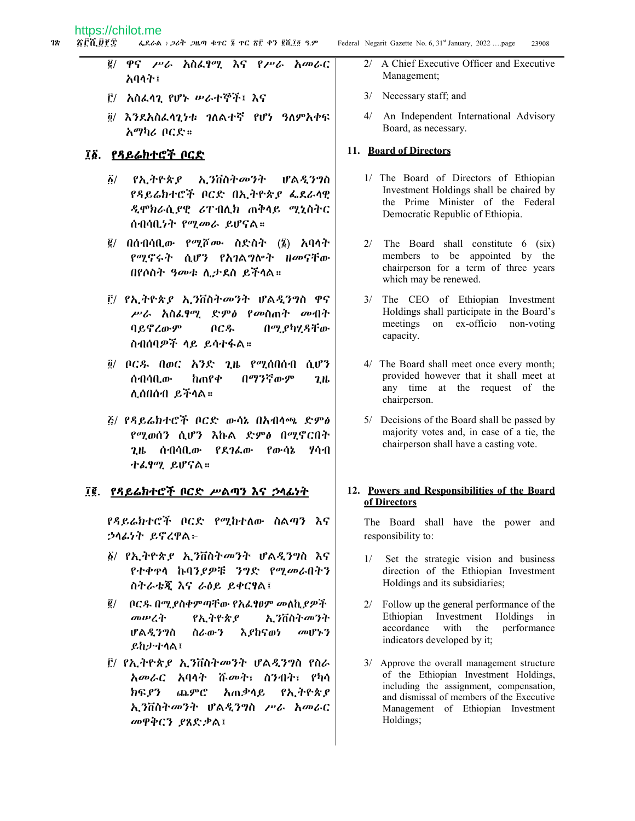- ዋና ሥራ አስፌፃሚ እና የሥራ አመራር ĝ/ አባላት፤
- ፫/ አስፌሳጊ የሆኑ ሥራተኞች፤ እና
- ፬/ እንደአስፌሳጊነቱ ገለልተኛ የሆነ ዓለምአቀፍ አማካሪ ቦርድ።

#### ፲፩. የዳይሬክተሮች ቦርድ

- ኢንቨስትመንት ፩/ የኢትዮጵያ ሆልዲንግስ የዳይሬክተሮች ቦርድ በኢትዮጵያ ፌደራሳዊ ዲሞክራሲያዊ ሪፐብሊክ ጠቅላይ ሚኒስትር ሰብሳቢነት የሚመራ ይሆናል።
- $\vec{g}$ / በሰብሳቢው የሚሾሙ ስድስት (፮) አባላት የሚኖሩት ሲሆን የአገልግሎት ዘመናቸው በየሶስት ዓመቱ ሲታደስ ይችላል።
- ፫/ የኢትዮጵ*ያ ኢን*ቨስትመንት ሆልዲንግስ ዋና ሥራ አስፌፃሚ ድምፅ የመስጠት መብተ ባይኖረውም በርዱ በሚ ያካሂዳቸው ስብሰባዎች ላይ ይሳተፋል።
- <u>፩/ ቦርዱ በወር አንድ ጊዜ የሚሰበሰብ ሲሆን</u>  $\ln$ ne $\Phi$ በማንኛውም ሰብሳቢው  $2<sub>th</sub>$ ሊሰበሰብ ይችላል።
- ፩/ የዳይሬክተሮች ቦርድ ውሳኔ በአብላጫ ድምፅ የሚወሰን ሲሆን እኩል ድምፅ በሚኖርበት ጊዜ ሰብሳቢው የደገፌው የውሳኔ ሃሳብ ተፌፃሚ ይሆናል።

#### ፲፪. የዳይሬክተሮች ቦርድ ሥልጣን እና ኃላፊነት

የዳይሬክተሮች ቦርድ የሚከተለው ስልጣን እና ኃሳፊነት ይኖረዋል፦

- ፩/ የኢትዮጵያ ኢንቨስትመንት ሆልዲንግስ እና የተቀዋሳ ኩባንያዎቹ ንግድ የሚመራበትን ስትራቴጂ እና ራዕይ ይቀርፃል፤
- ፪/ በርዱ በሚያስቀምጣቸው የአፌፃፀም መለኪያዎች መሠረት የኢትዮጵያ ኢንቨስትመንት ሆልዲንግስ ስራውን እያከናወነ  $\omega$   $\beta$   $\gamma$ ይከታተሳል፤
- <u>Ë/ የኢትዮጵያ ኢንቨስትመንት ሆልዲንግስ የስራ</u> አመራር አባላት ሹመት፣ ስንብት፣ የካሳ ክፍ የን ጨምሮ አጠቃሳይ የኢትዮጵያ ኢንቨስትመንት ሆልዲንግስ ሥራ አመራር መዋቅርን ያጸድቃል፤
- A Chief Executive Officer and Executive  $2/$ Management;
- 3/ Necessary staff; and
- 4/ An Independent International Advisory Board, as necessary.

#### 11. Board of Directors

- 1/ The Board of Directors of Ethiopian Investment Holdings shall be chaired by the Prime Minister of the Federal Democratic Republic of Ethiopia.
- $2/$  The Board shall constitute 6 (six) members to be appointed by the chairperson for a term of three years which may be renewed.
- 3/ The CEO of Ethiopian Investment Holdings shall participate in the Board's meetings on ex-officio non-voting capacity.
- 4/ The Board shall meet once every month; provided however that it shall meet at any time at the request of the chairperson.
- 5/ Decisions of the Board shall be passed by majority votes and, in case of a tie, the chairperson shall have a casting vote.

#### 12. Powers and Responsibilities of the Board of Directors

The Board shall have the power and responsibility to:

- Set the strategic vision and business  $1/$ direction of the Ethiopian Investment Holdings and its subsidiaries;
- 2/ Follow up the general performance of the Ethiopian Investment Holdings in performance accordance with the indicators developed by it;
- 3/ Approve the overall management structure of the Ethiopian Investment Holdings, including the assignment, compensation, and dismissal of members of the Executive Management of Ethiopian Investment Holdings;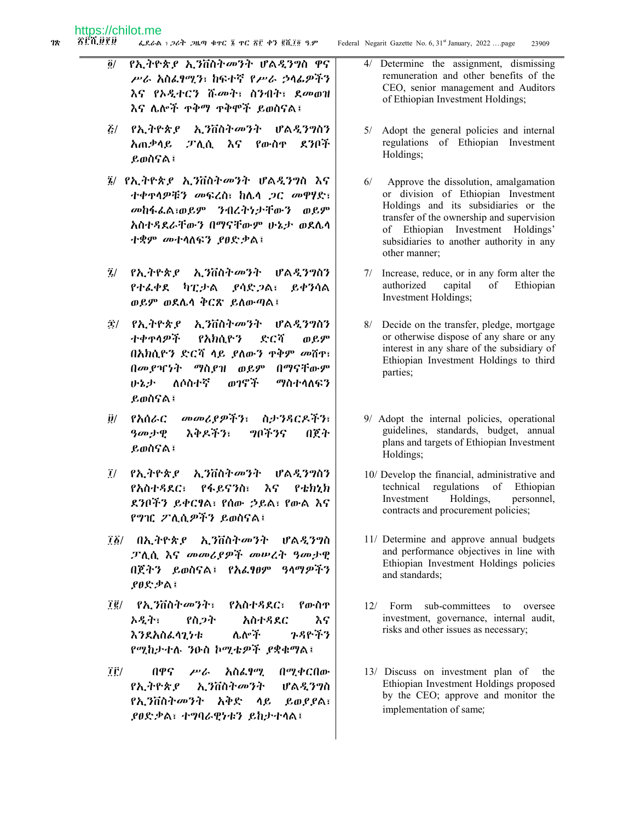- Federal Negarit Gazette No. 6, 31st January, 2022 ....page
- የኢትዮጵያ ኢንቨስትመንት ሆልዲንግስ ዋና  $\ddot{\mathbf{0}}$ / ሥራ አስፌፃሚን፣ ከፍተኛ የሥራ ኃላፊዎችን እና የአዲተርን ሹመት፣ ስንብት፣ ደመወዝ እና ሌሎች ዋቅማ ዋቅሞች ይወስናል፤
- *&/ የኢት*ዮጵ*ያ ኢን*ቨስት*መን*ት ሆልዲንግስን አጠቃላይ ፓሊሲ እና የውስዋ ደንቦች ይወስናል፤
- ፤/ የኢትዮጵያ ኢንቨስትመንት ሆልዲንግስ እና ተቀዋሳዎቹን መፍረስ፣ ከሌሳ ጋር መዋሃድ፣ መከፋፌል፣ወይም ንብረትነታቸውን ወይም አስተዳደራቸውን በማናቸውም ሁኔታ ወደሌሳ ተቋም መተሳለፍን ያፀድቃል፤
- ፯/ የኢትዮጵ*ያ* ኢንቨስትመንት ሆልዲንግስን የተፈቀደ ካፒታል ያሳድ ጋል፣ ይቀንሳል ወይም ወደሴሳ ቅርጽ ይለውጣል፤
- ፰/ የኢትዮጵያ ኢንቨስትመንት ሆልዲንግስን **ተቀ**ዋሳዎች የአክሲዮን ድርሻ **መይም** በአክሲዮን ድርሻ ላይ ያለውን ዋቅም መሽዋ፣ በመያዣነት ማስያዝ ወይም በማናቸውም ለሶስተኛ ወንኖች ふとよ ማስተሳለፍን ይወስናል፤
- መመሪያዎችን፣ ስታንጻርዶችን፣ <u>მ/ የአሰራር</u> እቅዶችን፣ ツバギタイ  $9$ መታዊ በጀት ይወስናል፤
- 7/ የኢትዮጵያ አ.ንቨስትመንት ሆልዲንግስን የፋይናንስ፣ እና የአስተዳደር፣  $P$   $\star$   $h$   $h$ ደንቦችን ይቀርፃል፣ የሰው ኃይል፣ የውል እና የግዢ ፖሊሲዎችን ይወስናል፤
- ፲፩/ በኢትዮጵያ ኢንቨስትመንት ሆልዲንግስ ፓሲሲ እና መመሪያዎች መሠረት ዓመታዊ በጀትን ይወስናል፤ የአፌፃፀም ዓላማዎችን ያፀድቃል፤
- ፲፪/ የኢንቨስትመንት፣ የአስተዳደር፣ የውስዋ አዲት፣ የስ*ጋት* አስተዳደር እና ሌሎች ንዳዮችን እንደአስፌሳጊነቱ የሚከታተሉ ንዑስ ኮሚቴዎች ያቋቁማል፤
- በዋና  $\mu$ īË/ አስፌፃሚ በሚቀርበው ኢንቨስትመንት የኢትዮጵያ ሆልዲንግስ ይወያያል፣ የኢንቨስትመንት አቅድ ላይ ያፀድቃል፣ ተግባራዊነቱን ይከታተሳል፤

4/ Determine the assignment, dismissing remuneration and other benefits of the CEO, senior management and Auditors of Ethiopian Investment Holdings;

23909

- 5/ Adopt the general policies and internal regulations of Ethiopian Investment Holdings;
- Approve the dissolution, amalgamation  $6/$ or division of Ethiopian Investment Holdings and its subsidiaries or the transfer of the ownership and supervision of Ethiopian Investment Holdings' subsidiaries to another authority in any other manner:
- 7/ Increase, reduce, or in any form alter the capital authorized of Ethiopian Investment Holdings;
- 8/ Decide on the transfer, pledge, mortgage or otherwise dispose of any share or any interest in any share of the subsidiary of Ethiopian Investment Holdings to third parties;
- 9/ Adopt the internal policies, operational guidelines, standards, budget, annual plans and targets of Ethiopian Investment Holdings;
- 10/ Develop the financial, administrative and technical regulations of Ethiopian Investment Holdings, personnel, contracts and procurement policies;
- 11/ Determine and approve annual budgets and performance objectives in line with Ethiopian Investment Holdings policies and standards:
- 12/ Form sub-committees to oversee investment, governance, internal audit, risks and other issues as necessary;
- 13/ Discuss on investment plan of the Ethiopian Investment Holdings proposed by the CEO; approve and monitor the implementation of same;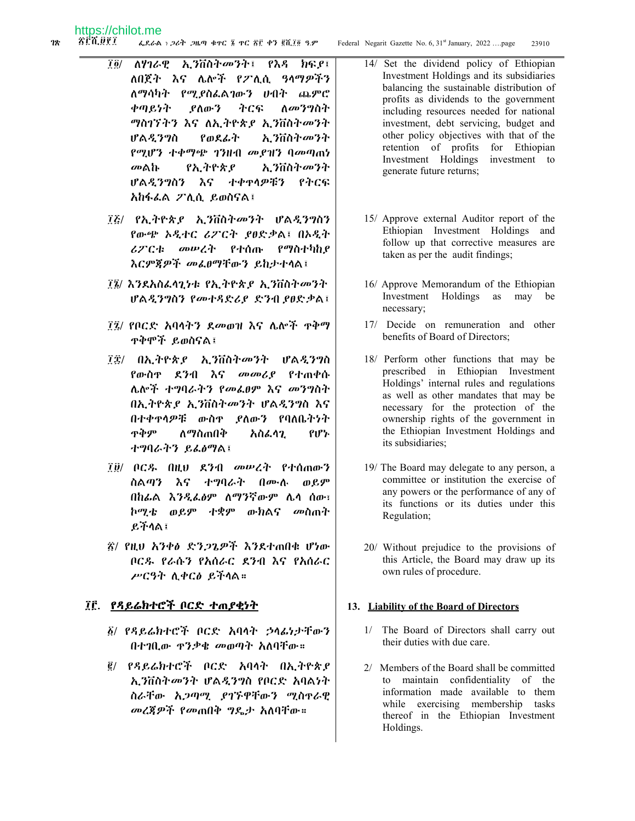- $\vec{l}$   $\vec{0}$  / ለሃገራዊ ኢንቨስትመንት፤ የእዳ ክፍደ፤ ለበጀት እና ሌሎች የፖሊሲ ዓላማዎችን ለማሳካት የሚያስፌልገውን ሀብት ጨምሮ ቀጣይነት ያስውን ትርፍ ለ*መንግ*ስት *ግስገኘትን እና ለኢትዮጵያ ኢን*ቨስት*መን*ተ የወደፊት ኢንቨስትመንት ሆልዲንግስ የሚሆን ተቀማጭ ገንዘብ መያዝን ባመጣጠነ መልኩ የኢትዮጵያ አ ንቨስትመንት ሆልዲንግስን እና ተቀዋሳዎቹን የትርፍ አከፋፌል ፖሊሲ ይወስናል፤
- ፲፩/ የኢትዮጵያ ኢንቨስትመንት ሆልዲንግስን የውጭ ኦዲተር ሪፖርት ያፀድቃል፤ በኦዲት ራፖርቱ መሠረት የተሰጡ የማስተካከያ እርምጀዎች መፌፀማቸውን ይከታተላል፤
- ፲፮/ እንደአስፌሳጊካቱ የኢትዮጵያ ኢንቨስትመንት ሆልዲንግስን የመተዳድሪያ ድንብ ያፀድቃል፤
- ፲፯/ የቦርድ አባላትን ደመወዝ እና ሌሎች ዋቅማ **ዋቅሞች ይወስናል፤**
- ፲፰/ በኢትዮጵያ ኢንቨስትመንት ሆልዲንግስ *የ*ውስዋ ደንብ እና መመሪያ የተጠቀሱ ሌሎች ተግባራትን የመፌፀም እና መንግስት በኢትዮጵያ ኢንቨስትመንት ሆልዲንግስ እና በተቀዋላዎቹ ውስዋ የለውን የባለቤትነት ዋቅም ለማስጠበቅ የሆኑ አስፌሳጊ ተግባራትን ይፌፅማል፤
- ፲፱/ ቦርዱ በዚህ ደንብ መሥረት የተሰጠውን ስልጣን እና ተግባራት በሙሉ ወይም በከፌል እንዲፌፅም ለማንኛውም ሌላ ሰው፣ ኮሚቴ ወይም ተቋም ውክልና መስጠት ይችላል፤
- ፳/ የዚህ አንቀፅ ድንጋጌዎች እንደተጠበቁ ሆነው ቦርዱ የራሱን የአሰራር ደንብ እና የአሰራር ሥርዓት ሲቀርፅ ይችላል።

# ፲፫. <u>የዳይሬክተሮች ቦርድ ተጠ*ያቂነ*ት</u>

- ፩/ የዳይሬክተሮች ቦርድ አባላት ኃላፊነታቸውን በተገቢው ዋንቃቄ መወጣት አለባቸው።
- ፪/ የዳይሬክተሮች ቦርድ አባላት በኢትዮጵያ አ.ንቨስትመንት ሆልዲንግስ የቦርድ አባልነት ስራቸው አ*ጋጣሚ ያገኙ*ዋቸውን ሚስኖራዊ መረጃዎች የመጠበቅ ግዴታ አለባቸው።
- 14/ Set the dividend policy of Ethiopian Investment Holdings and its subsidiaries balancing the sustainable distribution of profits as dividends to the government including resources needed for national investment, debt servicing, budget and other policy objectives with that of the retention of profits for Ethiopian Investment Holdings investment to generate future returns;
- 15/ Approve external Auditor report of the Ethiopian Investment Holdings and follow up that corrective measures are taken as per the audit findings;
- 16/ Approve Memorandum of the Ethiopian Investment Holdings as may be necessary;
- 17/ Decide on remuneration and other benefits of Board of Directors:
- 18/ Perform other functions that may be prescribed in Ethiopian Investment Holdings' internal rules and regulations as well as other mandates that may be necessary for the protection of the ownership rights of the government in the Ethiopian Investment Holdings and its subsidiaries:
- 19/ The Board may delegate to any person, a committee or institution the exercise of any powers or the performance of any of its functions or its duties under this Regulation;
- 20/ Without prejudice to the provisions of this Article, the Board may draw up its own rules of procedure.

#### 13. Liability of the Board of Directors

- 1/ The Board of Directors shall carry out their duties with due care.
- 2/ Members of the Board shall be committed to maintain confidentiality of the information made available to them while exercising membership tasks thereof in the Ethiopian Investment Holdings.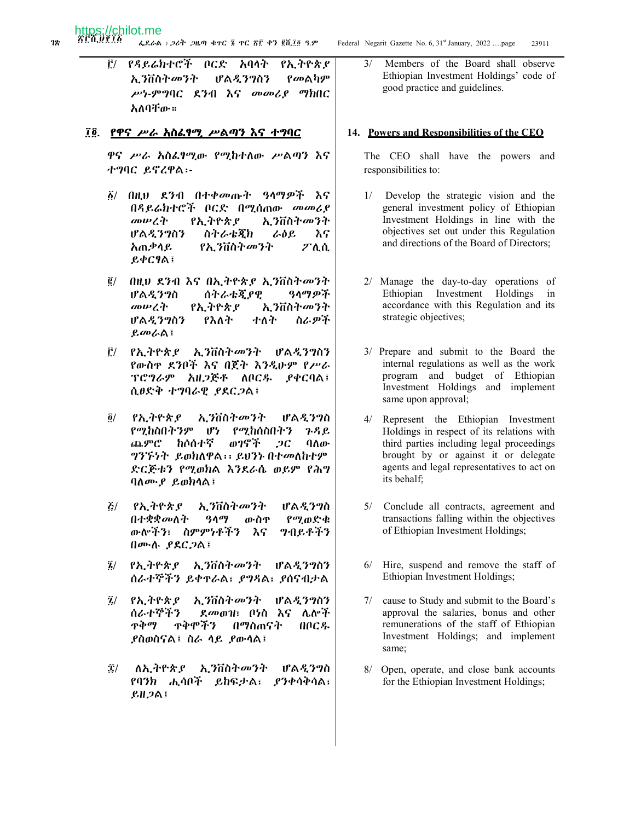Ë/ የዳይሬክተሮች ቦርድ አባላት የኢትዮጵያ ኢንቨስትመንት ሆልዲንግስን *የመ*ልካም ሥነ-ምግባር ደንብ እና መመሪያ ማክበር አለባቸው።

#### ፲፬ የዋና ሥራ አስፌፃሚ ሥልጣን እና ተግባር

ዋና ሥራ አስፌፃሚው የሚከተለው ሥልጣን እና ተግባር ይኖረዋል፡-

- $\delta$ / በዚህ ደንብ በተቀመጡት ዓላማዎች እና በዳይሬክተሮች ቦርድ በሚሰጠው መመሪያ መሠረት የኢትዮጵያ አ.ንቨስትመንት ሆልዲንግስን ስትራቴጂክ ራዕይ እና አጠቃሳይ የኢንቨስትመንት ፖሊሲ  $B$ ቀርፃል፤
- ፪/ በዚህ ደንብ እና በኢትዮጵያ ኢንቨስትመንት ዓላማዎች ሆልዲንግስ ሰትራቴጂያዊ መሠረት የኢትዮጵያ ኢንቨስትመንት ሆልዲንግስን የእለት ተለት ስራዎች ይመራል፤
- Ê/ የኢትዮጵያ ኢንቨስትመንት ሆልዲንግስን የውስዋ ደንቦች እና በጀት እንዲሁም የሥራ ፕሮግራም አዘጋጅቶ ለቦርዱ **\_P**ቀርባል፤ ሲፀድቅ ተግባራዊ ያደርጋል፤
- የኢትዮጵያ አ.ንቨስትመንት ሆልዲንግስ  $\partial/$ የሚከስበትንም ሆነ የሚከሰስበትን  $P, P, P$ ጨምሮ **ከሶሰተኛ** ወገኖች  $2C$ ባለው ግንኙነት ይወክለዋል፡፡ ይህንኑ በተመለከተም ድርጅቱን የሚወክል እንደራሴ ወይም የሕግ ባለሙ ይወክላል፤
- $\mathcal{E}/\mathcal{E}$ የኢትዮጵያ አ.ንቨስትመንት ሆልዲንግስ በተቋቋመለት  $90<sup>q</sup>$ ውስዋ የሚወድቁ ውሎችን፣ ስምምነቶችን እና **ግብይቶችን** በሙሉ ያደርጋል፤
- $\tilde{z}$ / የኢትዮጵያ ኢንቨስትመንት ሆልዲንግስን ሰራተኞችን ይቀኖራል፣ ያግዳል፣ ያሰናብታል
- ኢንቨስትመንት  $\tilde{\mathbf{z}}/$ የኢትዮጵያ ሆልዲንግስን ሰራተኞችን ደመወዝ፣ ቦ<u>ሃስ እና ሌሎች</u> ዋቅማ **ዋቅሞችን** በማስጠናት በቦርዱ ያስወስናል፤ ስራ ሳይ ያውሳል፤
- Ξ/ ለኢትዮጵያ ኢንቨስትመንት ሆልዲንግስ የባንክ ሒሳቦች ይከፍታል፣ ያንቀሳቅሳል፣ ይዘጋል፤

Members of the Board shall observe  $3/$ Ethiopian Investment Holdings' code of good practice and guidelines.

#### 14. Powers and Responsibilities of the CEO

The CEO shall have the powers and responsibilities to:

- Develop the strategic vision and the  $1/$ general investment policy of Ethiopian Investment Holdings in line with the objectives set out under this Regulation and directions of the Board of Directors;
- 2/ Manage the day-to-day operations of Ethiopian Investment Holdings  $in$ accordance with this Regulation and its strategic objectives;
- 3/ Prepare and submit to the Board the internal regulations as well as the work program and budget of Ethiopian Investment Holdings and implement same upon approval;
- 4/ Represent the Ethiopian Investment Holdings in respect of its relations with third parties including legal proceedings brought by or against it or delegate agents and legal representatives to act on its behalf;
- 5/ Conclude all contracts, agreement and transactions falling within the objectives of Ethiopian Investment Holdings;
- 6/ Hire, suspend and remove the staff of Ethiopian Investment Holdings;
- 7/ cause to Study and submit to the Board's approval the salaries, bonus and other remunerations of the staff of Ethiopian Investment Holdings; and implement same;
- 8/ Open, operate, and close bank accounts for the Ethiopian Investment Holdings;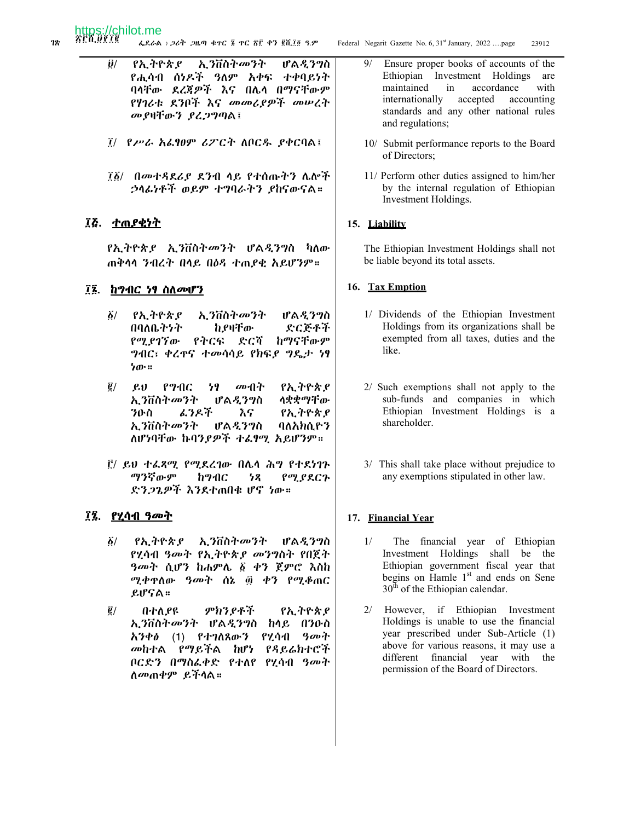- Federal Negarit Gazette No. 6, 31st January, 2022 ....page
- $\ddot{\bm{\theta}}$ / የኢትዮጵያ ኢንቨስትመንት ሆልዲንግስ የሒሳብ ሰነዶች ዓለም አቀፍ ተቀባይነት ባላቸው ደረጃዎች እና በሌላ በማናቸውም የሃገሪቱ ደንቦች እና መመሪያዎች መሠረት መያዛቸውን ያረጋግጣል፤
- ፲/ የሥራ አራፃፀም ሪፖርት ለቦርዱ ያቀርባል፤
- ፲፩/ በመተዳደሪያ ደንብ ላይ የተሰጡትን ሌሎች ኃላፊነቶች ወይም ተግባራትን ያከናውናል።

# ፲፭. <u>ተጠያቂነት</u>

*የኢትዮጵያ ኢን*ቨስት*መንት ሆ*ል*ዲንግ*ስ ካለው ጠቅሳሳ ንብረት በሳይ በዕዳ ተጠያቂ አይሆንም።

#### ፲፮. ከማብር ነፃ ስለመሆን

- አ.ንቨስትመንት  $\tilde{\mathbf{Q}}$ / የኢትዮጵያ ሆልዲንግስ በባለቤትንት ከያዛቸው ድርጅቶች የሚያገኘው ከማናቸውም የትርፍ ድርሻ *ግላ*በር፣ ቀረዋና ተመሳሳይ የክፍ*ያ ግ*ዴታ ነፃ ነው።
- $\vec{g}/$  $\mathcal{L} \mathcal{U}$ የማብር 79 መብት የኢትዮጵያ ኢንቨስት*መን*ት ሆልዲንግስ ሳቋቋማቸው ፌንዶች ንዑስ እና <u>የኢትዮጵያ</u> ኢንቨስትመንት ሆልዲንግስ ባለአክሲዮን ለሆነባቸው ኩባንያዎች ተራፃሚ አይሆንም።
- ፫/ ይህ ተፌጻሚ የሚደረገው በሌላ ሕግ የተደነገጉ ማንኛውም ከማብር  $78$ የሚያደርጉ ድንጋጌዎች እንደተጠበቁ ሆኖ ነው።

#### ፲፯. የሂሳብ ዓመት

- $\delta/$ የኢትዮጵያ ኢንቨስትመንት ሆልዲንግስ የሂሳብ ዓመት የኢትዮጵ*ያ መንግ*ስት የበጀት *ዓመት* ሲሆን ከሐምሌ ፩ ቀን ጀምሮ እስከ ሚቀዋለው ዓመት ሰኔ ፴ ቀን የሚቆጠር ይሆናል።
- $\vec{e}$  / በተለያዩ ምክንያቶች የኢትዮጵያ ኢንቨስትመንት ሆልዲንግስ ከላይ በንዑስ አንቀ $\theta$  (1) የተገለጸውን የሂሳብ *ዓመት* መከተል የማይችል ከሆነ የዳይሬክተሮች ቦርድን በማስፌቀድ የተለየ የሂሳብ ዓመት ለ*መ*ጠቀም ይችላል።

 $9/$ Ensure proper books of accounts of the Ethiopian Investment Holdings are maintained  $in$ accordance with internationally accepted accounting standards and any other national rules and regulations;

23912

- 10/ Submit performance reports to the Board of Directors;
- 11/ Perform other duties assigned to him/her by the internal regulation of Ethiopian Investment Holdings.

#### 15. Liability

The Ethiopian Investment Holdings shall not be liable beyond its total assets.

#### 16. Tax Emption

- 1/ Dividends of the Ethiopian Investment Holdings from its organizations shall be exempted from all taxes, duties and the like.
- 2/ Such exemptions shall not apply to the sub-funds and companies in which Ethiopian Investment Holdings is a shareholder.
- 3/ This shall take place without prejudice to any exemptions stipulated in other law.

#### 17. Financial Year

- $1/$ The financial year of Ethiopian Investment Holdings shall be the Ethiopian government fiscal year that begins on Hamle 1<sup>st</sup> and ends on Sene  $30^{\text{th}}$  of the Ethiopian calendar.
- 2/ However, if Ethiopian Investment Holdings is unable to use the financial year prescribed under Sub-Article (1) above for various reasons, it may use a different financial year with the permission of the Board of Directors.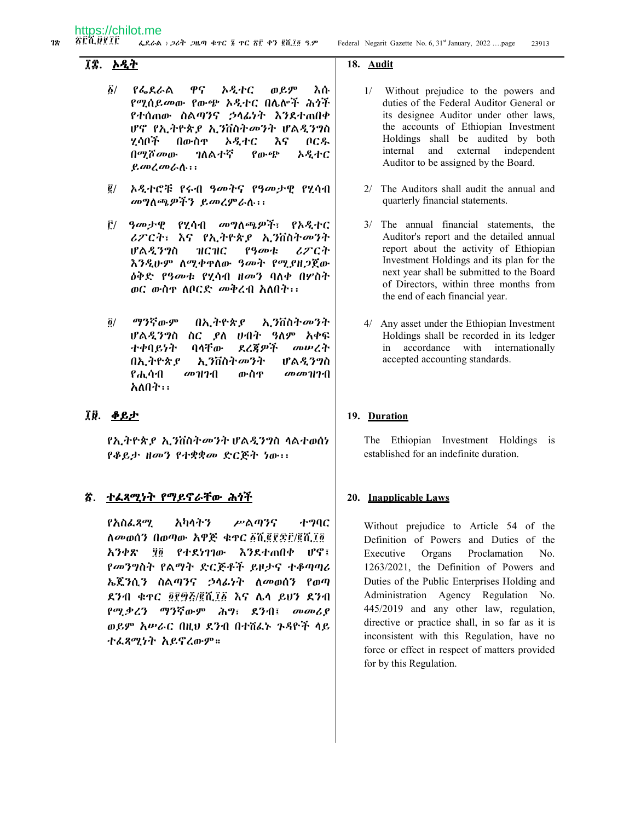#### ÎÎ አዲት

- $\delta/$  $P$ <sub>b</sub>  $R$ <sub>b</sub>  $A$ ዋና አዲተር ወይም እሱ የሚሰይመው የውጭ ኦዲተር በሌሎች ሕጎች የተሰጠው ስልጣንና ኃላፊነት እንደተጠበቀ ሆኖ የኢትዮጵያ ኢንቨስትመንት ሆልዲንግስ ሂሳቦች በውስዋ አዲተር እና በርዱ በሚሾመው ገለልተኛ የውጭ አዲተር ይመረመራሱ፡፡
- ኦዲተሮቹ የሩብ ዓመትና የዓመታዊ የሂሳብ  $\vec{g}/$ መግስጫዎችን ይመረምራስ፡፡፡
- ፫/ *ዓመታዊ የሂሳብ መግ*ለጫዎች፣ የኦዲተር ሪፖርት፣ እና የኢትዮጵያ ኢንቨስትመንት ሆልዲንግስ **НСНС** የዓመቱ **ሪፖርት** እንዲሁም ስሚቀዋስው ዓመት የሚያዘጋጀው *ዕቅድ የዓመቱ የሂሳ*ብ *ዘመን* ባለቀ በሦስት ወር ውስዋ ለቦርድ መቅረብ አለበት፡፡
- ማንኛውም  $\ddot{\mathbf{0}}$ / በኢትዮጵያ ኢንቨስትመንት ሆልዲንግስ ስር ያለ ሀብት ዓለም አቀፍ ተቀባይነት ባላቸው ደረጃዎች のいびむ በኢትዮጵያ አ ንቨስትመንት ሆል*ዲ*ንግስ የሒሳብ መዝገብ ውስዋ  $\omega$   $\omega$   $\gamma$   $\gamma$ አለበት፡፡

#### ፲፱. <u>ቆይታ</u>

*የኢትዮጵያ ኢን*ቨስት*መን*ት ሆል*ዲንግ*ስ ሳልተወሰነ የቆይታ ዘመን የተቋቋመ ድርጅት ነው፡፡

#### <u>ኛ. ተፌጻሚነት የማይኖራቸው ሕጎች</u>

**よりハナツ** የአስፌጻሚ ሥልጣንና ホツハC ለመወሰን በወጣው አዋጅ ቁዋር ፩ሺ፪፻፷፫/፪ሺ፲፬ ፶፬ የተደነገገው እንደተጠበቀ ሆኖ፤ አንቀጽ የመንግስት የልማት ድርጅቶች ይዞታና ተቆጣጣሪ ኤጄንሲን ስልጣንና ኃላፊነት ለመወሰን የወጣ ደንብ ቁዋር ፬፻፵፭/፪ሺ፲፩ እና ሌላ ይህን ደንብ የሚቃረን ማንኛውም ሕግ፣ ደንብ፤ *መመሪ* ያ ወይም አሥራር በዚህ ደንብ በተሸፌኑ ጉዳዮች ላይ ተፌጻሚነት አይኖረውም።

#### 18. Audit

- 1/ Without prejudice to the powers and duties of the Federal Auditor General or its designee Auditor under other laws, the accounts of Ethiopian Investment Holdings shall be audited by both internal and external independent Auditor to be assigned by the Board.
- 2/ The Auditors shall audit the annual and quarterly financial statements.
- 3/ The annual financial statements, the Auditor's report and the detailed annual report about the activity of Ethiopian Investment Holdings and its plan for the next year shall be submitted to the Board of Directors, within three months from the end of each financial year.
- 4/ Any asset under the Ethiopian Investment Holdings shall be recorded in its ledger accordance with internationally  $in$ accepted accounting standards.

#### 19. Duration

The Ethiopian Investment Holdings is established for an indefinite duration.

#### 20. Inapplicable Laws

Without prejudice to Article 54 of the Definition of Powers and Duties of the Executive Organs Proclamation No. 1263/2021, the Definition of Powers and Duties of the Public Enterprises Holding and Administration Agency Regulation No. 445/2019 and any other law, regulation, directive or practice shall, in so far as it is inconsistent with this Regulation, have no force or effect in respect of matters provided for by this Regulation.